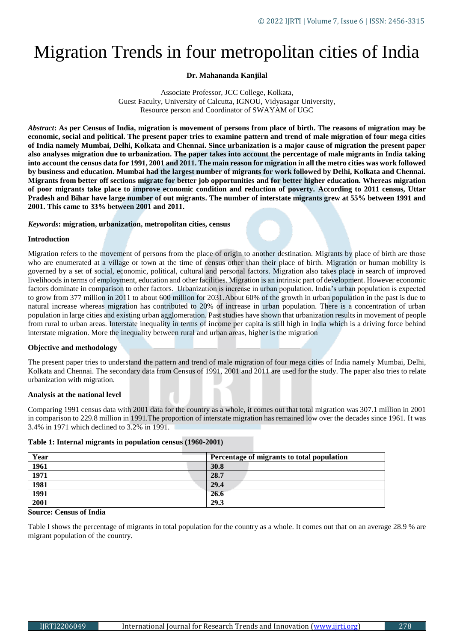# Migration Trends in four metropolitan cities of India

# **Dr. Mahananda Kanjilal**

Associate Professor, JCC College, Kolkata, Guest Faculty, University of Calcutta, IGNOU, Vidyasagar University, Resource person and Coordinator of SWAYAM of UGC

*Abstract***: As per Census of India, migration is movement of persons from place of birth. The reasons of migration may be economic, social and political. The present paper tries to examine pattern and trend of male migration of four mega cities of India namely Mumbai, Delhi, Kolkata and Chennai. Since urbanization is a major cause of migration the present paper also analyses migration due to urbanization. The paper takes into account the percentage of male migrants in India taking into account the census data for 1991, 2001 and 2011. The main reason for migration in all the metro cities was work followed by business and education. Mumbai had the largest number of migrants for work followed by Delhi, Kolkata and Chennai. Migrants from better off sections migrate for better job opportunities and for better higher education. Whereas migration of poor migrants take place to improve economic condition and reduction of poverty. According to 2011 census, Uttar Pradesh and Bihar have large number of out migrants. The number of interstate migrants grew at 55% between 1991 and 2001. This came to 33% between 2001 and 2011.**

# *Keywords***: migration, urbanization, metropolitan cities, census**

# **Introduction**

Migration refers to the movement of persons from the place of origin to another destination. Migrants by place of birth are those who are enumerated at a village or town at the time of census other than their place of birth. Migration or human mobility is governed by a set of social, economic, political, cultural and personal factors. Migration also takes place in search of improved livelihoods in terms of employment, education and other facilities. Migration is an intrinsic part of development. However economic factors dominate in comparison to other factors. Urbanization is increase in urban population. India's urban population is expected to grow from 377 million in 2011 to about 600 million for 2031.About 60% of the growth in urban population in the past is due to natural increase whereas migration has contributed to 20% of increase in urban population. There is a concentration of urban population in large cities and existing urban agglomeration. Past studies have shown that urbanization results in movement of people from rural to urban areas. Interstate inequality in terms of income per capita is still high in India which is a driving force behind interstate migration. More the inequality between rural and urban areas, higher is the migration

# **Objective and methodology**

The present paper tries to understand the pattern and trend of male migration of four mega cities of India namely Mumbai, Delhi, Kolkata and Chennai. The secondary data from Census of 1991, 2001 and 2011 are used for the study. The paper also tries to relate urbanization with migration.

# **Analysis at the national level**

Comparing 1991 census data with 2001 data for the country as a whole, it comes out that total migration was 307.1 million in 2001 in comparison to 229.8 million in 1991.The proportion of interstate migration has remained low over the decades since 1961. It was 3.4% in 1971 which declined to 3.2% in 1991.

## **Table 1: Internal migrants in population census (1960-2001)**

| Year | Percentage of migrants to total population |
|------|--------------------------------------------|
| 1961 | 30.8                                       |
| 1971 | 28.7                                       |
| 1981 | 29.4                                       |
| 1991 | 26.6                                       |
| 2001 | 29.3                                       |

## **Source: Census of India**

Table I shows the percentage of migrants in total population for the country as a whole. It comes out that on an average 28.9 % are migrant population of the country.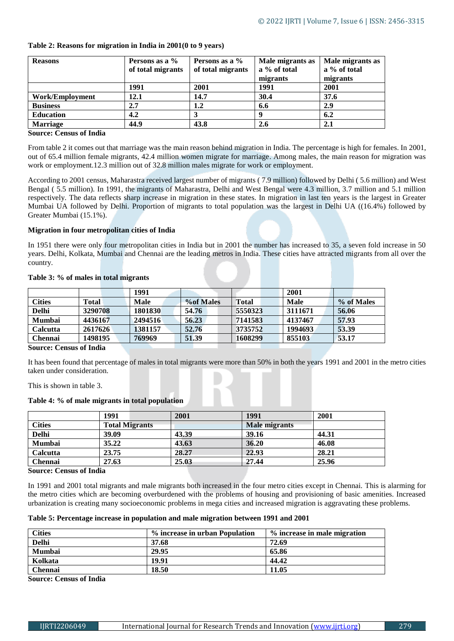| <b>Reasons</b>         | Persons as a %<br>of total migrants | Persons as a %<br>of total migrants | Male migrants as<br>a % of total<br>migrants | Male migrants as<br>a % of total<br>migrants |
|------------------------|-------------------------------------|-------------------------------------|----------------------------------------------|----------------------------------------------|
|                        | 1991                                | 2001                                | 1991                                         | 2001                                         |
| <b>Work/Employment</b> | 12.1                                | 14.7                                | 30.4                                         | 37.6                                         |
| <b>Business</b>        | 2.7                                 | 1.2                                 | 6.6                                          | 2.9                                          |
| <b>Education</b>       | 4.2                                 |                                     | Q                                            | 6.2                                          |
| <b>Marriage</b>        | 44.9                                | 43.8                                | 2.6                                          | 2.1                                          |

# **Table 2: Reasons for migration in India in 2001(0 to 9 years)**

# **Source: Census of India**

From table 2 it comes out that marriage was the main reason behind migration in India. The percentage is high for females. In 2001, out of 65.4 million female migrants, 42.4 million women migrate for marriage. Among males, the main reason for migration was work or employment.12.3 million out of 32.8 million males migrate for work or employment.

According to 2001 census, Maharastra received largest number of migrants ( 7.9 million) followed by Delhi ( 5.6 million) and West Bengal ( 5.5 million). In 1991, the migrants of Maharastra, Delhi and West Bengal were 4.3 million, 3.7 million and 5.1 million respectively. The data reflects sharp increase in migration in these states. In migration in last ten years is the largest in Greater Mumbai UA followed by Delhi. Proportion of migrants to total population was the largest in Delhi UA ((16.4%) followed by Greater Mumbai (15.1%).

# **Migration in four metropolitan cities of India**

In 1951 there were only four metropolitan cities in India but in 2001 the number has increased to 35, a seven fold increase in 50 years. Delhi, Kolkata, Mumbai and Chennai are the leading metros in India. These cities have attracted migrants from all over the country.

# **Table 3: % of males in total migrants**

|                  |         | 1991        |            |         | 2001    |            |
|------------------|---------|-------------|------------|---------|---------|------------|
| <b>Cities</b>    | Total   | <b>Male</b> | % of Males | Total   | Male    | % of Males |
| <b>Delhi</b>     | 3290708 | 1801830     | 54.76      | 5550323 | 3111671 | 56.06      |
| <b>Mumbai</b>    | 4436167 | 2494516     | 56.23      | 7141583 | 4137467 | 57.93      |
| <b>Calcutta</b>  | 2617626 | 1381157     | 52.76      | 3735752 | 1994693 | 53.39      |
| <b>Chennai</b>   | 1498195 | 769969      | 51.39      | 1608299 | 855103  | 53.17      |
| $\sim$<br>$\sim$ | 0.7.1   |             |            |         |         |            |

#### **Source: Census of India**

It has been found that percentage of males in total migrants were more than 50% in both the years 1991 and 2001 in the metro cities taken under consideration.

This is shown in table 3.

# **Table 4: % of male migrants in total population**

|                 | 1991                  | 2001  | 1991          | 2001  |
|-----------------|-----------------------|-------|---------------|-------|
| <b>Cities</b>   | <b>Total Migrants</b> |       | Male migrants |       |
| <b>Delhi</b>    | 39.09                 | 43.39 | 39.16         | 44.31 |
| <b>Mumbai</b>   | 35.22                 | 43.63 | 36.20         | 46.08 |
| <b>Calcutta</b> | 23.75                 | 28.27 | 22.93         | 28.21 |
| Chennai         | 27.63                 | 25.03 | 27.44         | 25.96 |

**Source: Census of India**

In 1991 and 2001 total migrants and male migrants both increased in the four metro cities except in Chennai. This is alarming for the metro cities which are becoming overburdened with the problems of housing and provisioning of basic amenities. Increased urbanization is creating many socioeconomic problems in mega cities and increased migration is aggravating these problems.

## **Table 5: Percentage increase in population and male migration between 1991 and 2001**

| <b>Cities</b>  | % increase in urban Population | % increase in male migration |
|----------------|--------------------------------|------------------------------|
| <b>Delhi</b>   | 37.68                          | 72.69                        |
| <b>Mumbai</b>  | 29.95                          | 65.86                        |
| Kolkata        | 19.91                          | 44.42                        |
| <b>Chennai</b> | 18.50                          | 11.05                        |

**Source: Census of India**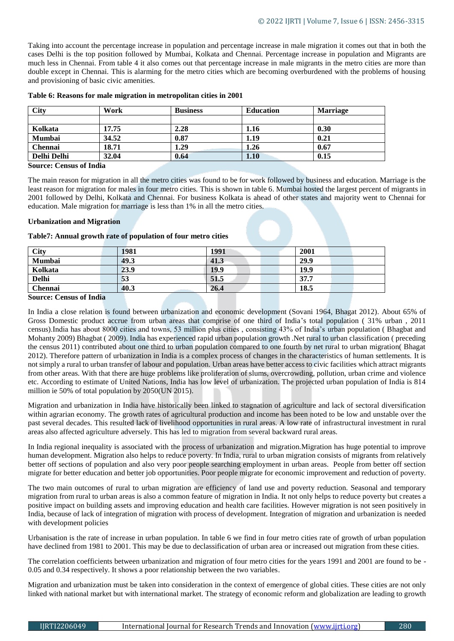Taking into account the percentage increase in population and percentage increase in male migration it comes out that in both the cases Delhi is the top position followed by Mumbai, Kolkata and Chennai. Percentage increase in population and Migrants are much less in Chennai. From table 4 it also comes out that percentage increase in male migrants in the metro cities are more than double except in Chennai. This is alarming for the metro cities which are becoming overburdened with the problems of housing and provisioning of basic civic amenities.

| <b>City</b>             | Work  | <b>Business</b> | <b>Education</b> | <b>Marriage</b> |
|-------------------------|-------|-----------------|------------------|-----------------|
|                         |       |                 |                  |                 |
| Kolkata                 | 17.75 | 2.28            | 1.16             | 0.30            |
| <b>Mumbai</b>           | 34.52 | 0.87            | 1.19             | 0.21            |
| <b>Chennai</b>          | 18.71 | 1.29            | 1.26             | 0.67            |
| Delhi Delhi             | 32.04 | 0.64            | 1.10             | 0.15            |
| Cource: Cangus of India |       |                 |                  |                 |

## **Table 6: Reasons for male migration in metropolitan cities in 2001**

#### **Source: Census of India**

The main reason for migration in all the metro cities was found to be for work followed by business and education. Marriage is the least reason for migration for males in four metro cities. This is shown in table 6. Mumbai hosted the largest percent of migrants in 2001 followed by Delhi, Kolkata and Chennai. For business Kolkata is ahead of other states and majority went to Chennai for education. Male migration for marriage is less than 1% in all the metro cities.

## **Urbanization and Migration**

# **Table7: Annual growth rate of population of four metro cities**

| <b>City</b>  | 1981 | 1991 | 2001 |
|--------------|------|------|------|
| Mumbai       | 49.3 | 41.3 | 29.9 |
| Kolkata      | 23.9 | 19.9 | 19.9 |
| <b>Delhi</b> | 53   | 51.5 | 37.7 |
| Chennai      | 40.3 | 26.4 | 18.5 |

## **Source: Census of India**

In India a close relation is found between urbanization and economic development (Sovani 1964, Bhagat 2012). About 65% of Gross Domestic product accrue from urban areas that comprise of one third of India's total population ( 31% urban , 2011 census).India has about 8000 cities and towns, 53 million plus cities , consisting 43% of India's urban population ( Bhagbat and Mohanty 2009) Bhagbat ( 2009). India has experienced rapid urban population growth .Net rural to urban classification ( preceding the census 2011) contributed about one third to urban population compared to one fourth by net rural to urban migration( Bhagat 2012). Therefore pattern of urbanization in India is a complex process of changes in the characteristics of human settlements. It is not simply a rural to urban transfer of labour and population. Urban areas have better access to civic facilities which attract migrants from other areas. With that there are huge problems like proliferation of slums, overcrowding, pollution, urban crime and violence etc. According to estimate of United Nations, India has low level of urbanization. The projected urban population of India is 814 million ie 50% of total population by 2050(UN 2015).

Migration and urbanization in India have historically been linked to stagnation of agriculture and lack of sectoral diversification within agrarian economy. The growth rates of agricultural production and income has been noted to be low and unstable over the past several decades. This resulted lack of livelihood opportunities in rural areas. A low rate of infrastructural investment in rural areas also affected agriculture adversely. This has led to migration from several backward rural areas.

In India regional inequality is associated with the process of urbanization and migration.Migration has huge potential to improve human development. Migration also helps to reduce poverty. In India, rural to urban migration consists of migrants from relatively better off sections of population and also very poor people searching employment in urban areas. People from better off section migrate for better education and better job opportunities. Poor people migrate for economic improvement and reduction of poverty.

The two main outcomes of rural to urban migration are efficiency of land use and poverty reduction. Seasonal and temporary migration from rural to urban areas is also a common feature of migration in India. It not only helps to reduce poverty but creates a positive impact on building assets and improving education and health care facilities. However migration is not seen positively in India, because of lack of integration of migration with process of development. Integration of migration and urbanization is needed with development policies

Urbanisation is the rate of increase in urban population. In table 6 we find in four metro cities rate of growth of urban population have declined from 1981 to 2001. This may be due to declassification of urban area or increased out migration from these cities.

The correlation coefficients between urbanization and migration of four metro cities for the years 1991 and 2001 are found to be - 0.05 and 0.34 respectively. It shows a poor relationship between the two variables.

Migration and urbanization must be taken into consideration in the context of emergence of global cities. These cities are not only linked with national market but with international market. The strategy of economic reform and globalization are leading to growth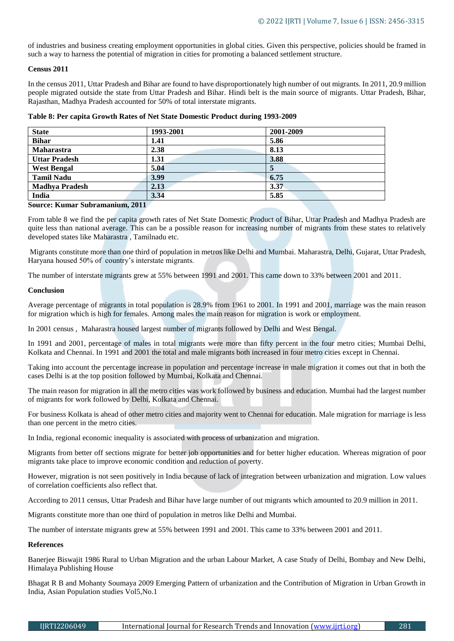of industries and business creating employment opportunities in global cities. Given this perspective, policies should be framed in such a way to harness the potential of migration in cities for promoting a balanced settlement structure.

## **Census 2011**

In the census 2011, Uttar Pradesh and Bihar are found to have disproportionately high number of out migrants. In 2011, 20.9 million people migrated outside the state from Uttar Pradesh and Bihar. Hindi belt is the main source of migrants. Uttar Pradesh, Bihar, Rajasthan, Madhya Pradesh accounted for 50% of total interstate migrants.

| Table 8: Per capita Growth Rates of Net State Domestic Product during 1993-2009 |
|---------------------------------------------------------------------------------|
|---------------------------------------------------------------------------------|

| <b>State</b>          | 1993-2001 | 2001-2009 |
|-----------------------|-----------|-----------|
| <b>Bihar</b>          | 1.41      | 5.86      |
| Maharastra            | 2.38      | 8.13      |
| <b>Uttar Pradesh</b>  | 1.31      | 3.88      |
| <b>West Bengal</b>    | 5.04      |           |
| <b>Tamil Nadu</b>     | 3.99      | 6.75      |
| <b>Madhya Pradesh</b> | 2.13      | 3.37      |
| India                 | 3.34      | 5.85      |

# **Source: Kumar Subramanium, 2011**

From table 8 we find the per capita growth rates of Net State Domestic Product of Bihar, Uttar Pradesh and Madhya Pradesh are quite less than national average. This can be a possible reason for increasing number of migrants from these states to relatively developed states like Maharastra , Tamilnadu etc.

Migrants constitute more than one third of population in metros like Delhi and Mumbai. Maharastra, Delhi, Gujarat, Uttar Pradesh, Haryana housed 50% of country's interstate migrants.

The number of interstate migrants grew at 55% between 1991 and 2001. This came down to 33% between 2001 and 2011.

## **Conclusion**

Average percentage of migrants in total population is 28.9% from 1961 to 2001. In 1991 and 2001, marriage was the main reason for migration which is high for females. Among males the main reason for migration is work or employment.

In 2001 census , Maharastra housed largest number of migrants followed by Delhi and West Bengal.

In 1991 and 2001, percentage of males in total migrants were more than fifty percent in the four metro cities; Mumbai Delhi, Kolkata and Chennai. In 1991 and 2001 the total and male migrants both increased in four metro cities except in Chennai.

Taking into account the percentage increase in population and percentage increase in male migration it comes out that in both the cases Delhi is at the top position followed by Mumbai, Kolkata and Chennai.

The main reason for migration in all the metro cities was work followed by business and education. Mumbai had the largest number of migrants for work followed by Delhi, Kolkata and Chennai.

For business Kolkata is ahead of other metro cities and majority went to Chennai for education. Male migration for marriage is less than one percent in the metro cities.

In India, regional economic inequality is associated with process of urbanization and migration.

Migrants from better off sections migrate for better job opportunities and for better higher education. Whereas migration of poor migrants take place to improve economic condition and reduction of poverty.

However, migration is not seen positively in India because of lack of integration between urbanization and migration. Low values of correlation coefficients also reflect that.

According to 2011 census, Uttar Pradesh and Bihar have large number of out migrants which amounted to 20.9 million in 2011.

Migrants constitute more than one third of population in metros like Delhi and Mumbai.

The number of interstate migrants grew at 55% between 1991 and 2001. This came to 33% between 2001 and 2011.

## **References**

Banerjee Biswajit 1986 Rural to Urban Migration and the urban Labour Market, A case Study of Delhi, Bombay and New Delhi, Himalaya Publishing House

Bhagat R B and Mohanty Soumaya 2009 Emerging Pattern of urbanization and the Contribution of Migration in Urban Growth in India, Asian Population studies Vol5,No.1